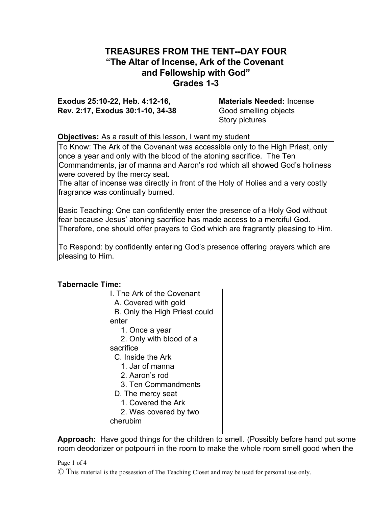## **TREASURES FROM THE TENT--DAY FOUR "The Altar of Incense, Ark of the Covenant and Fellowship with God" Grades 1-3**

**Exodus 25:10-22, Heb. 4:12-16, Materials Needed:** Incense **Rev. 2:17, Exodus 30:1-10, 34-38** Good smelling objects

Story pictures

## **Objectives:** As a result of this lesson, I want my student

To Know: The Ark of the Covenant was accessible only to the High Priest, only once a year and only with the blood of the atoning sacrifice. The Ten Commandments, jar of manna and Aaron's rod which all showed God's holiness were covered by the mercy seat.

The altar of incense was directly in front of the Holy of Holies and a very costly fragrance was continually burned.

Basic Teaching: One can confidently enter the presence of a Holy God without fear because Jesus' atoning sacrifice has made access to a merciful God. Therefore, one should offer prayers to God which are fragrantly pleasing to Him.

To Respond: by confidently entering God's presence offering prayers which are pleasing to Him.

## **Tabernacle Time:**

| I. The Ark of the Covenant    |
|-------------------------------|
| A. Covered with gold          |
| B. Only the High Priest could |
| enter                         |
| 1. Once a year                |
| 2. Only with blood of a       |
| sacrifice                     |
| C. Inside the Ark             |
| 1. Jar of manna               |
| 2. Aaron's rod                |
| 3. Ten Commandments           |
| D. The mercy seat             |
| 1. Covered the Ark            |
| 2. Was covered by two         |
| cherubim                      |
|                               |

**Approach:** Have good things for the children to smell. (Possibly before hand put some room deodorizer or potpourri in the room to make the whole room smell good when the

Page 1 of 4

© This material is the possession of The Teaching Closet and may be used for personal use only.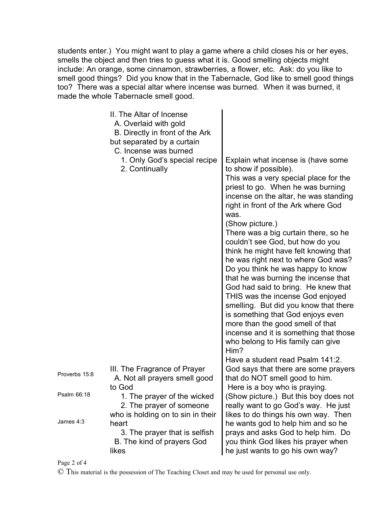students enter.) You might want to play a game where a child closes his or her eyes, smells the object and then tries to guess what it is. Good smelling objects might include: An orange, some cinnamon, strawberries, a flower, etc. Ask: do you like to smell good things? Did you know that in the Tabernacle, God like to smell good things too? There was a special altar where incense was burned. When it was burned, it made the whole Tabernacle smell good.

|               | II. The Altar of Incense<br>A. Overlaid with gold<br>B. Directly in front of the Ark<br>but separated by a curtain<br>C. Incense was burned<br>1. Only God's special recipe<br>2. Continually | Explain what incense is (have some<br>to show if possible).<br>This was a very special place for the<br>priest to go. When he was burning<br>incense on the altar, he was standing<br>right in front of the Ark where God<br>was.<br>(Show picture.)<br>There was a big curtain there, so he<br>couldn't see God, but how do you<br>think he might have felt knowing that<br>he was right next to where God was?<br>Do you think he was happy to know<br>that he was burning the incense that<br>God had said to bring. He knew that<br>THIS was the incense God enjoyed<br>smelling. But did you know that there<br>is something that God enjoys even<br>more than the good smell of that<br>incense and it is something that those<br>who belong to His family can give<br>Him?<br>Have a student read Psalm 141:2. |
|---------------|-----------------------------------------------------------------------------------------------------------------------------------------------------------------------------------------------|-----------------------------------------------------------------------------------------------------------------------------------------------------------------------------------------------------------------------------------------------------------------------------------------------------------------------------------------------------------------------------------------------------------------------------------------------------------------------------------------------------------------------------------------------------------------------------------------------------------------------------------------------------------------------------------------------------------------------------------------------------------------------------------------------------------------------|
| Proverbs 15:8 | III. The Fragrance of Prayer<br>A. Not all prayers smell good<br>to God                                                                                                                       | God says that there are some prayers<br>that do NOT smell good to him.<br>Here is a boy who is praying.                                                                                                                                                                                                                                                                                                                                                                                                                                                                                                                                                                                                                                                                                                               |
| Psalm 66:18   | 1. The prayer of the wicked<br>2. The prayer of someone                                                                                                                                       | (Show picture.) But this boy does not<br>really want to go God's way. He just                                                                                                                                                                                                                                                                                                                                                                                                                                                                                                                                                                                                                                                                                                                                         |
| James 4:3     | who is holding on to sin in their<br>heart<br>3. The prayer that is selfish<br>B. The kind of prayers God<br>likes                                                                            | likes to do things his own way. Then<br>he wants god to help him and so he<br>prays and asks God to help him. Do<br>you think God likes his prayer when<br>he just wants to go his own way?                                                                                                                                                                                                                                                                                                                                                                                                                                                                                                                                                                                                                           |

Page 2 of 4

© This material is the possession of The Teaching Closet and may be used for personal use only.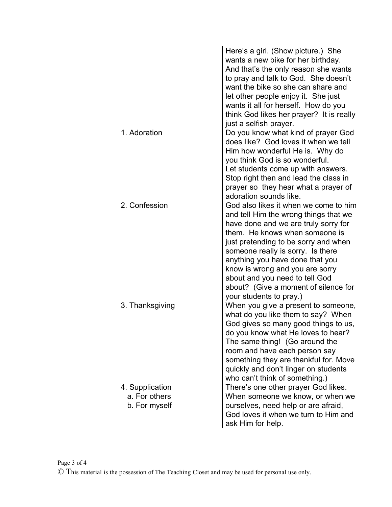|                                                   | Here's a girl. (Show picture.) She<br>wants a new bike for her birthday.<br>And that's the only reason she wants<br>to pray and talk to God. She doesn't<br>want the bike so she can share and<br>let other people enjoy it. She just<br>wants it all for herself. How do you<br>think God likes her prayer? It is really                                                                                       |
|---------------------------------------------------|-----------------------------------------------------------------------------------------------------------------------------------------------------------------------------------------------------------------------------------------------------------------------------------------------------------------------------------------------------------------------------------------------------------------|
| 1. Adoration                                      | just a selfish prayer.<br>Do you know what kind of prayer God<br>does like? God loves it when we tell<br>Him how wonderful He is. Why do<br>you think God is so wonderful.<br>Let students come up with answers.<br>Stop right then and lead the class in<br>prayer so they hear what a prayer of                                                                                                               |
| 2. Confession                                     | adoration sounds like.<br>God also likes it when we come to him<br>and tell Him the wrong things that we<br>have done and we are truly sorry for<br>them. He knows when someone is<br>just pretending to be sorry and when<br>someone really is sorry. Is there<br>anything you have done that you<br>know is wrong and you are sorry<br>about and you need to tell God<br>about? (Give a moment of silence for |
| 3. Thanksgiving                                   | your students to pray.)<br>When you give a present to someone,<br>what do you like them to say? When<br>God gives so many good things to us,<br>do you know what He loves to hear?<br>The same thing! (Go around the<br>room and have each person say<br>something they are thankful for. Move<br>quickly and don't linger on students<br>who can't think of something.)                                        |
| 4. Supplication<br>a. For others<br>b. For myself | There's one other prayer God likes.<br>When someone we know, or when we<br>ourselves, need help or are afraid,<br>God loves it when we turn to Him and<br>ask Him for help.                                                                                                                                                                                                                                     |